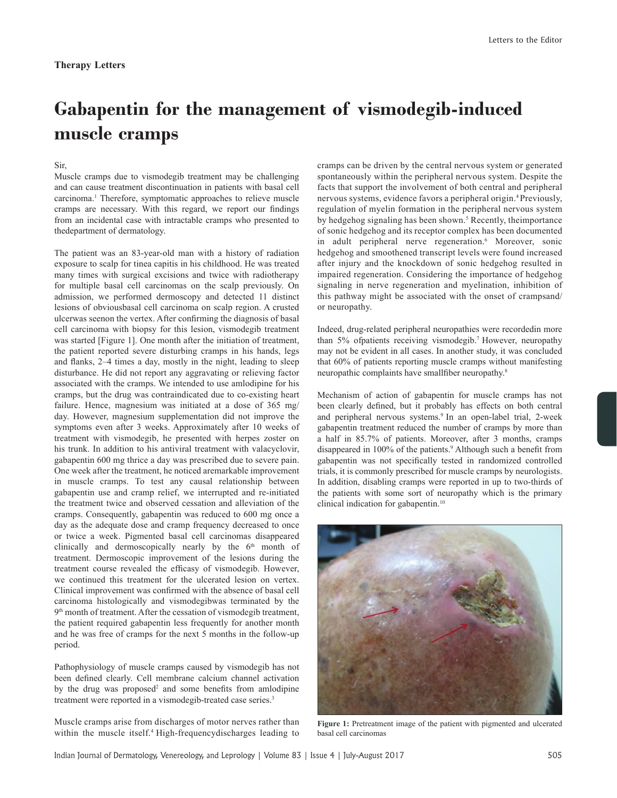# **Gabapentin for the management of vismodegib‑induced muscle cramps**

## Sir,

Muscle cramps due to vismodegib treatment may be challenging and can cause treatment discontinuation in patients with basal cell carcinoma.<sup>1</sup> Therefore, symptomatic approaches to relieve muscle cramps are necessary. With this regard, we report our findings from an incidental case with intractable cramps who presented to thedepartment of dermatology.

The patient was an 83-year-old man with a history of radiation exposure to scalp for tinea capitis in his childhood. He was treated many times with surgical excisions and twice with radiotherapy for multiple basal cell carcinomas on the scalp previously. On admission, we performed dermoscopy and detected 11 distinct lesions of obviousbasal cell carcinoma on scalp region. A crusted ulcerwas seenon the vertex. After confirming the diagnosis of basal cell carcinoma with biopsy for this lesion, vismodegib treatment was started [Figure 1]. One month after the initiation of treatment, the patient reported severe disturbing cramps in his hands, legs and flanks, 2–4 times a day, mostly in the night, leading to sleep disturbance. He did not report any aggravating or relieving factor associated with the cramps. We intended to use amlodipine for his cramps, but the drug was contraindicated due to co-existing heart failure. Hence, magnesium was initiated at a dose of 365 mg/ day. However, magnesium supplementation did not improve the symptoms even after 3 weeks. Approximately after 10 weeks of treatment with vismodegib, he presented with herpes zoster on his trunk. In addition to his antiviral treatment with valacyclovir, gabapentin 600 mg thrice a day was prescribed due to severe pain. One week after the treatment, he noticed aremarkable improvement in muscle cramps. To test any causal relationship between gabapentin use and cramp relief, we interrupted and re‑initiated the treatment twice and observed cessation and alleviation of the cramps. Consequently, gabapentin was reduced to 600 mg once a day as the adequate dose and cramp frequency decreased to once or twice a week. Pigmented basal cell carcinomas disappeared clinically and dermoscopically nearly by the 6<sup>th</sup> month of treatment. Dermoscopic improvement of the lesions during the treatment course revealed the efficasy of vismodegib. However, we continued this treatment for the ulcerated lesion on vertex. Clinical improvement was confirmed with the absence of basal cell carcinoma histologically and vismodegibwas terminated by the 9<sup>th</sup> month of treatment. After the cessation of vismodegib treatment, the patient required gabapentin less frequently for another month and he was free of cramps for the next 5 months in the follow-up period.

Pathophysiology of muscle cramps caused by vismodegib has not been defined clearly. Cell membrane calcium channel activation by the drug was proposed<sup>2</sup> and some benefits from amlodipine treatment were reported in a vismodegib-treated case series.<sup>3</sup>

Muscle cramps arise from discharges of motor nerves rather than within the muscle itself.<sup>4</sup> High-frequency discharges leading to cramps can be driven by the central nervous system or generated spontaneously within the peripheral nervous system. Despite the facts that support the involvement of both central and peripheral nervous systems, evidence favors a peripheral origin.4 Previously, regulation of myelin formation in the peripheral nervous system by hedgehog signaling has been shown.<sup>5</sup> Recently, theimportance of sonic hedgehog and its receptor complex has been documented in adult peripheral nerve regeneration.<sup>6</sup> Moreover, sonic hedgehog and smoothened transcript levels were found increased after injury and the knockdown of sonic hedgehog resulted in impaired regeneration. Considering the importance of hedgehog signaling in nerve regeneration and myelination, inhibition of this pathway might be associated with the onset of crampsand/ or neuropathy.

Indeed, drug‑related peripheral neuropathies were recordedin more than 5% ofpatients receiving vismodegib.7 However, neuropathy may not be evident in all cases. In another study, it was concluded that 60% of patients reporting muscle cramps without manifesting neuropathic complaints have smallfiber neuropathy.<sup>8</sup>

Mechanism of action of gabapentin for muscle cramps has not been clearly defined, but it probably has effects on both central and peripheral nervous systems.<sup>9</sup> In an open-label trial, 2-week gabapentin treatment reduced the number of cramps by more than a half in 85.7% of patients. Moreover, after 3 months, cramps disappeared in 100% of the patients.<sup>9</sup> Although such a benefit from gabapentin was not specifically tested in randomized controlled trials, it is commonly prescribed for muscle cramps by neurologists. In addition, disabling cramps were reported in up to two-thirds of the patients with some sort of neuropathy which is the primary clinical indication for gabapentin.<sup>10</sup>



**Figure 1:** Pretreatment image of the patient with pigmented and ulcerated basal cell carcinomas